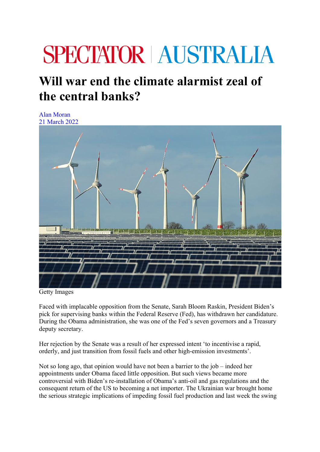## **SPECTATOR AUSTRALIA**

## **Will war end the climate alarmist zeal of the central banks?**

Alan Moran 21 March 2022



Getty Images

Faced with implacable opposition from the Senate, Sarah Bloom Raskin, President Biden's pick for supervising banks within the Federal Reserve (Fed), has withdrawn her candidature. During the Obama administration, she was one of the Fed's seven governors and a Treasury deputy secretary.

Her rejection by the Senate was a result of her expressed intent 'to incentivise a rapid, orderly, and just transition from fossil fuels and other high-emission investments'.

Not so long ago, that opinion would have not been a barrier to the job – indeed her appointments under Obama faced little opposition. But such views became more controversial with Biden's re-installation of Obama's anti-oil and gas regulations and the consequent return of the US to becoming a net importer. The Ukrainian war brought home the serious strategic implications of impeding fossil fuel production and last week the swing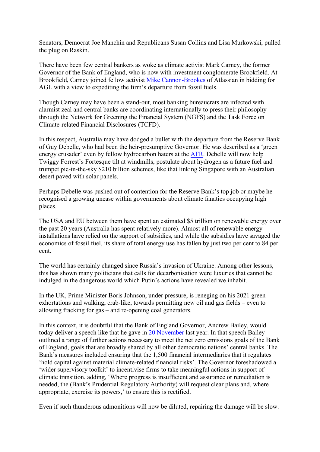Senators, Democrat Joe Manchin and Republicans Susan Collins and Lisa Murkowski, pulled the plug on Raskin.

There have been few central bankers as woke as climate activist Mark Carney, the former Governor of the Bank of England, who is now with investment conglomerate Brookfield. At Brookfield, Carney joined fellow activist Mike Cannon-Brookes of Atlassian in bidding for AGL with a view to expediting the firm's departure from fossil fuels.

Though Carney may have been a stand-out, most banking bureaucrats are infected with alarmist zeal and central banks are coordinating internationally to press their philosophy through the Network for Greening the Financial System (NGFS) and the Task Force on Climate-related Financial Disclosures (TCFD).

In this respect, Australia may have dodged a bullet with the departure from the Reserve Bank of Guy Debelle, who had been the heir-presumptive Governor. He was described as a 'green energy crusader' even by fellow hydrocarbon haters at the AFR. Debelle will now help Twiggy Forrest's Fortesque tilt at windmills, postulate about hydrogen as a future fuel and trumpet pie-in-the-sky \$210 billion schemes, like that linking Singapore with an Australian desert paved with solar panels.

Perhaps Debelle was pushed out of contention for the Reserve Bank's top job or maybe he recognised a growing unease within governments about climate fanatics occupying high places.

The USA and EU between them have spent an estimated \$5 trillion on renewable energy over the past 20 years (Australia has spent relatively more). Almost all of renewable energy installations have relied on the support of subsidies, and while the subsidies have savaged the economics of fossil fuel, its share of total energy use has fallen by just two per cent to 84 per cent.

The world has certainly changed since Russia's invasion of Ukraine. Among other lessons, this has shown many politicians that calls for decarbonisation were luxuries that cannot be indulged in the dangerous world which Putin's actions have revealed we inhabit.

In the UK, Prime Minister Boris Johnson, under pressure, is reneging on his 2021 green exhortations and walking, crab-like, towards permitting new oil and gas fields – even to allowing fracking for gas – and re-opening coal generators.

In this context, it is doubtful that the Bank of England Governor, Andrew Bailey, would today deliver a speech like that he gave in 20 November last year. In that speech Bailey outlined a range of further actions necessary to meet the net zero emissions goals of the Bank of England, goals that are broadly shared by all other democratic nations' central banks. The Bank's measures included ensuring that the 1,500 financial intermediaries that it regulates 'hold capital against material climate-related financial risks'. The Governor foreshadowed a 'wider supervisory toolkit' to incentivise firms to take meaningful actions in support of climate transition, adding, 'Where progress is insufficient and assurance or remediation is needed, the (Bank's Prudential Regulatory Authority) will request clear plans and, where appropriate, exercise its powers,' to ensure this is rectified.

Even if such thunderous admonitions will now be diluted, repairing the damage will be slow.